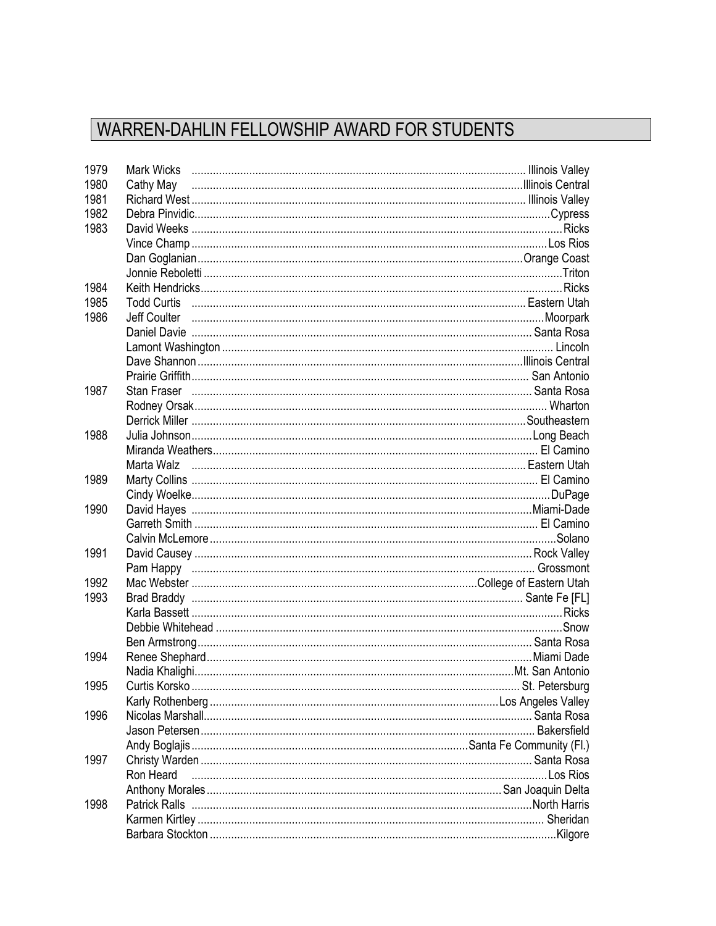## WARREN-DAHLIN FELLOWSHIP AWARD FOR STUDENTS

| 1979 |                              | Mark Wicks (and according the control of the control of the control of the control of the control of the control of the control of the control of the control of the control of the control of the control of the control of t |
|------|------------------------------|--------------------------------------------------------------------------------------------------------------------------------------------------------------------------------------------------------------------------------|
| 1980 |                              |                                                                                                                                                                                                                                |
| 1981 |                              |                                                                                                                                                                                                                                |
| 1982 |                              |                                                                                                                                                                                                                                |
| 1983 |                              |                                                                                                                                                                                                                                |
|      |                              |                                                                                                                                                                                                                                |
|      |                              |                                                                                                                                                                                                                                |
|      |                              |                                                                                                                                                                                                                                |
| 1984 |                              |                                                                                                                                                                                                                                |
| 1985 |                              |                                                                                                                                                                                                                                |
| 1986 |                              |                                                                                                                                                                                                                                |
|      |                              |                                                                                                                                                                                                                                |
|      |                              |                                                                                                                                                                                                                                |
|      |                              |                                                                                                                                                                                                                                |
|      |                              |                                                                                                                                                                                                                                |
| 1987 |                              |                                                                                                                                                                                                                                |
|      |                              |                                                                                                                                                                                                                                |
|      |                              |                                                                                                                                                                                                                                |
| 1988 |                              |                                                                                                                                                                                                                                |
|      |                              |                                                                                                                                                                                                                                |
|      |                              |                                                                                                                                                                                                                                |
| 1989 |                              |                                                                                                                                                                                                                                |
|      |                              |                                                                                                                                                                                                                                |
| 1990 |                              |                                                                                                                                                                                                                                |
|      |                              |                                                                                                                                                                                                                                |
|      |                              |                                                                                                                                                                                                                                |
| 1991 |                              |                                                                                                                                                                                                                                |
|      |                              |                                                                                                                                                                                                                                |
| 1992 |                              |                                                                                                                                                                                                                                |
| 1993 |                              |                                                                                                                                                                                                                                |
|      |                              |                                                                                                                                                                                                                                |
|      |                              |                                                                                                                                                                                                                                |
|      |                              |                                                                                                                                                                                                                                |
| 1994 |                              |                                                                                                                                                                                                                                |
|      |                              |                                                                                                                                                                                                                                |
| 1995 | Curtis Korsko i komunista ko |                                                                                                                                                                                                                                |
|      |                              |                                                                                                                                                                                                                                |
| 1996 |                              |                                                                                                                                                                                                                                |
|      |                              |                                                                                                                                                                                                                                |
|      |                              |                                                                                                                                                                                                                                |
| 1997 |                              |                                                                                                                                                                                                                                |
|      | Ron Heard                    |                                                                                                                                                                                                                                |
|      |                              |                                                                                                                                                                                                                                |
| 1998 |                              |                                                                                                                                                                                                                                |
|      |                              |                                                                                                                                                                                                                                |
|      |                              |                                                                                                                                                                                                                                |
|      |                              |                                                                                                                                                                                                                                |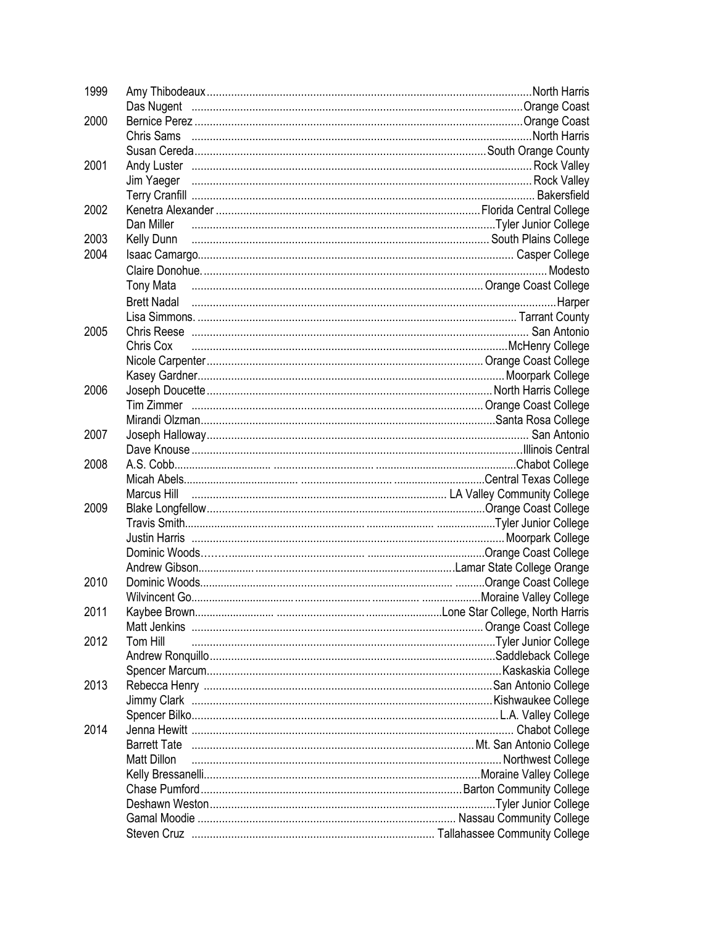| 1999 |             |                                                                                                   |
|------|-------------|---------------------------------------------------------------------------------------------------|
|      |             |                                                                                                   |
| 2000 |             |                                                                                                   |
|      |             |                                                                                                   |
|      |             |                                                                                                   |
| 2001 |             |                                                                                                   |
|      |             |                                                                                                   |
|      |             |                                                                                                   |
| 2002 |             |                                                                                                   |
|      |             | Dan Miller Fand Aller And Allen College Community College College College College College College |
| 2003 | Kelly Dunn  |                                                                                                   |
| 2004 |             |                                                                                                   |
|      |             |                                                                                                   |
|      |             | Tony Mata music members control case College Coast College                                        |
|      |             |                                                                                                   |
|      |             | Brett Nadal <b>Maturis Communication and Contract Communication</b> and analysis of the Harper    |
|      |             |                                                                                                   |
| 2005 |             |                                                                                                   |
|      | Chris Cox   |                                                                                                   |
|      |             |                                                                                                   |
|      |             |                                                                                                   |
| 2006 |             |                                                                                                   |
|      |             |                                                                                                   |
|      |             |                                                                                                   |
| 2007 |             |                                                                                                   |
|      |             |                                                                                                   |
| 2008 |             |                                                                                                   |
|      |             |                                                                                                   |
|      |             |                                                                                                   |
| 2009 |             |                                                                                                   |
|      |             |                                                                                                   |
|      |             |                                                                                                   |
|      |             |                                                                                                   |
|      |             |                                                                                                   |
| 2010 |             |                                                                                                   |
|      |             |                                                                                                   |
| 2011 |             |                                                                                                   |
|      |             |                                                                                                   |
| 2012 | Tom Hill    |                                                                                                   |
|      |             |                                                                                                   |
|      |             |                                                                                                   |
| 2013 |             |                                                                                                   |
|      |             |                                                                                                   |
|      |             |                                                                                                   |
| 2014 |             |                                                                                                   |
|      |             |                                                                                                   |
|      | Matt Dillon |                                                                                                   |
|      |             |                                                                                                   |
|      |             |                                                                                                   |
|      |             |                                                                                                   |
|      |             |                                                                                                   |
|      |             |                                                                                                   |
|      |             |                                                                                                   |